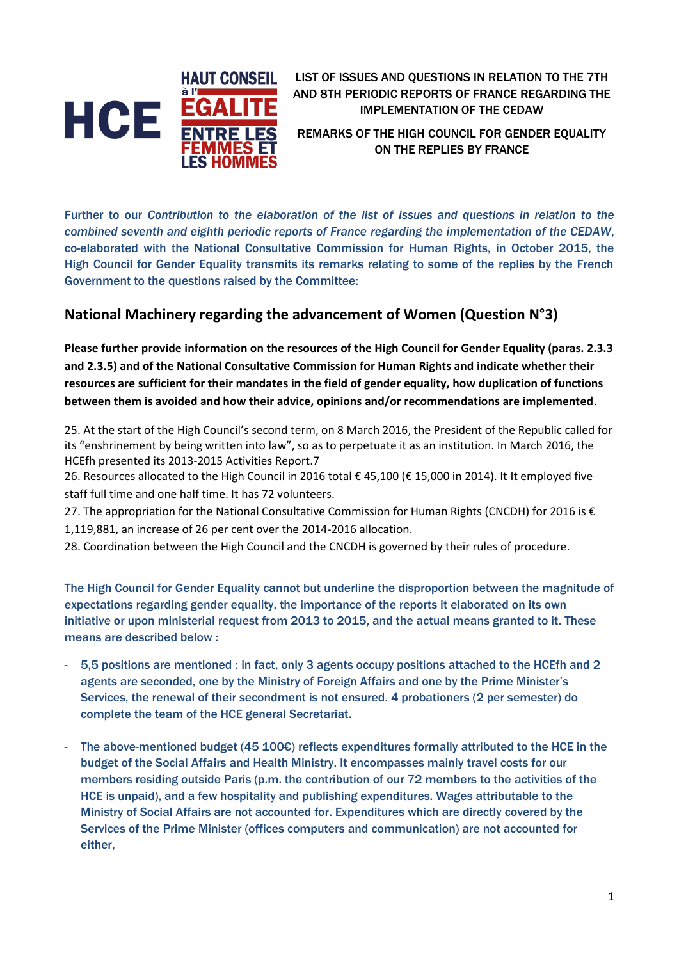

LIST OF ISSUES AND QUESTIONS IN RELATION TO THE 7TH AND 8TH PERIODIC REPORTS OF FRANCE REGARDING THE IMPLEMENTATION OF THE CEDAW

REMARKS OF THE HIGH COUNCIL FOR GENDER EQUALITY ON THE REPLIES BY FRANCE

Further to our *Contribution to the elaboration of the list of issues and questions in relation to the combined seventh and eighth periodic reports of France regarding the implementation of the CEDAW*, co-elaborated with the National Consultative Commission for Human Rights, in October 2015, the High Council for Gender Equality transmits its remarks relating to some of the replies by the French Government to the questions raised by the Committee:

## **National Machinery regarding the advancement of Women (Question N°3)**

**Please further provide information on the resources of the High Council for Gender Equality (paras. 2.3.3 and 2.3.5) and of the National Consultative Commission for Human Rights and indicate whether their resources are sufficient for their mandates in the field of gender equality, how duplication of functions between them is avoided and how their advice, opinions and/or recommendations are implemented**.

25. At the start of the High Council's second term, on 8 March 2016, the President of the Republic called for its "enshrinement by being written into law", so as to perpetuate it as an institution. In March 2016, the HCEfh presented its 2013-2015 Activities Report.7

26. Resources allocated to the High Council in 2016 total € 45,100 (€ 15,000 in 2014). It It employed five staff full time and one half time. It has 72 volunteers.

27. The appropriation for the National Consultative Commission for Human Rights (CNCDH) for 2016 is € 1,119,881, an increase of 26 per cent over the 2014-2016 allocation.

28. Coordination between the High Council and the CNCDH is governed by their rules of procedure.

The High Council for Gender Equality cannot but underline the disproportion between the magnitude of expectations regarding gender equality, the importance of the reports it elaborated on its own initiative or upon ministerial request from 2013 to 2015, and the actual means granted to it. These means are described below :

- 5,5 positions are mentioned : in fact, only 3 agents occupy positions attached to the HCEfh and 2 agents are seconded, one by the Ministry of Foreign Affairs and one by the Prime Minister's Services, the renewal of their secondment is not ensured. 4 probationers (2 per semester) do complete the team of the HCE general Secretariat.
- The above-mentioned budget (45 100€) reflects expenditures formally attributed to the HCE in the budget of the Social Affairs and Health Ministry. It encompasses mainly travel costs for our members residing outside Paris (p.m. the contribution of our 72 members to the activities of the HCE is unpaid), and a few hospitality and publishing expenditures. Wages attributable to the Ministry of Social Affairs are not accounted for. Expenditures which are directly covered by the Services of the Prime Minister (offices computers and communication) are not accounted for either,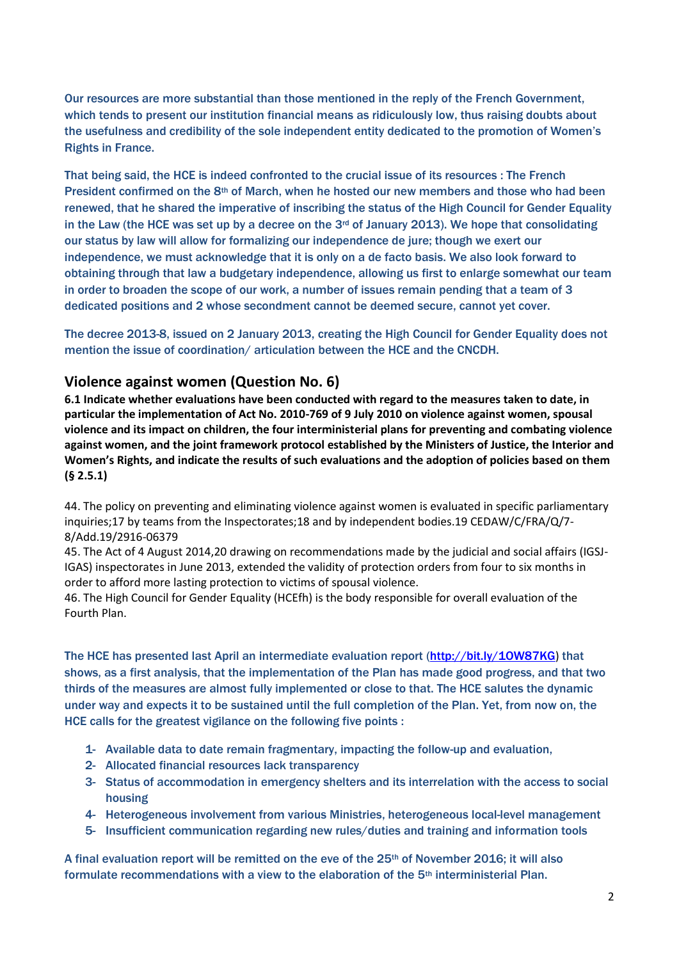Our resources are more substantial than those mentioned in the reply of the French Government, which tends to present our institution financial means as ridiculously low, thus raising doubts about the usefulness and credibility of the sole independent entity dedicated to the promotion of Women's Rights in France.

That being said, the HCE is indeed confronted to the crucial issue of its resources : The French President confirmed on the 8<sup>th</sup> of March, when he hosted our new members and those who had been renewed, that he shared the imperative of inscribing the status of the High Council for Gender Equality in the Law (the HCE was set up by a decree on the  $3<sup>rd</sup>$  of January 2013). We hope that consolidating our status by law will allow for formalizing our independence de jure; though we exert our independence, we must acknowledge that it is only on a de facto basis. We also look forward to obtaining through that law a budgetary independence, allowing us first to enlarge somewhat our team in order to broaden the scope of our work, a number of issues remain pending that a team of 3 dedicated positions and 2 whose secondment cannot be deemed secure, cannot yet cover.

The decree 2013-8, issued on 2 January 2013, creating the High Council for Gender Equality does not mention the issue of coordination/ articulation between the HCE and the CNCDH.

## **Violence against women (Question No. 6)**

**6.1 Indicate whether evaluations have been conducted with regard to the measures taken to date, in particular the implementation of Act No. 2010-769 of 9 July 2010 on violence against women, spousal violence and its impact on children, the four interministerial plans for preventing and combating violence against women, and the joint framework protocol established by the Ministers of Justice, the Interior and Women's Rights, and indicate the results of such evaluations and the adoption of policies based on them (§ 2.5.1)**

44. The policy on preventing and eliminating violence against women is evaluated in specific parliamentary inquiries;17 by teams from the Inspectorates;18 and by independent bodies.19 CEDAW/C/FRA/Q/7- 8/Add.19/2916-06379

45. The Act of 4 August 2014,20 drawing on recommendations made by the judicial and social affairs (IGSJ-IGAS) inspectorates in June 2013, extended the validity of protection orders from four to six months in order to afford more lasting protection to victims of spousal violence.

46. The High Council for Gender Equality (HCEfh) is the body responsible for overall evaluation of the Fourth Plan.

The HCE has presented last April an intermediate evaluation report [\(http://bit.ly/1OW87KG](http://bit.ly/1OW87KG)) that shows, as a first analysis, that the implementation of the Plan has made good progress, and that two thirds of the measures are almost fully implemented or close to that. The HCE salutes the dynamic under way and expects it to be sustained until the full completion of the Plan. Yet, from now on, the HCE calls for the greatest vigilance on the following five points :

- 1- Available data to date remain fragmentary, impacting the follow-up and evaluation,
- 2- Allocated financial resources lack transparency
- 3- Status of accommodation in emergency shelters and its interrelation with the access to social housing
- 4- Heterogeneous involvement from various Ministries, heterogeneous local-level management
- 5- Insufficient communication regarding new rules/duties and training and information tools

A final evaluation report will be remitted on the eve of the 25th of November 2016; it will also formulate recommendations with a view to the elaboration of the 5th interministerial Plan.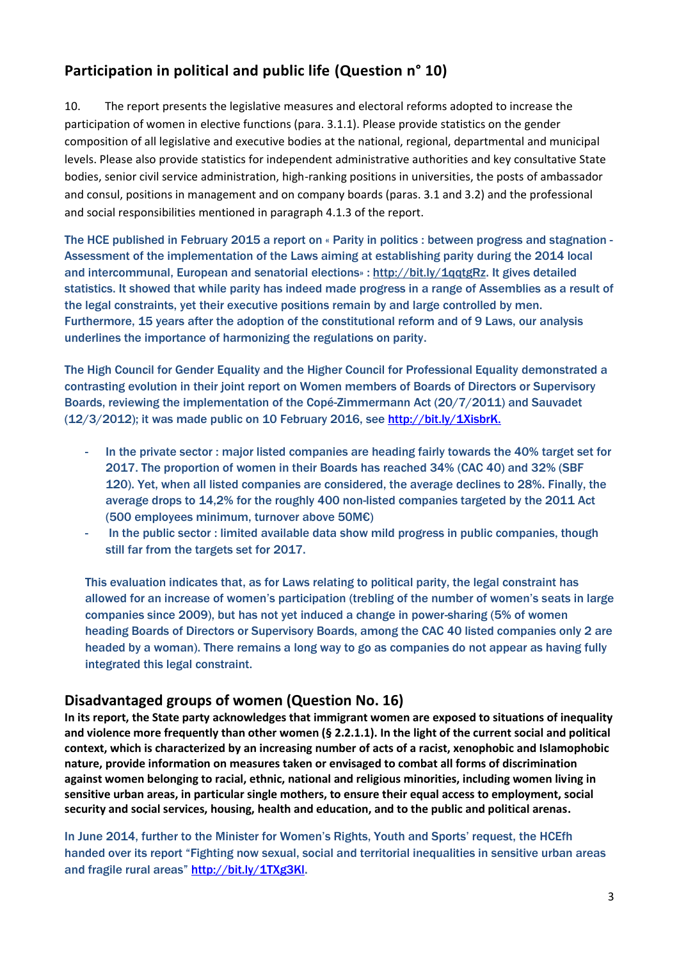## **Participation in political and public life (Question n° 10)**

10. The report presents the legislative measures and electoral reforms adopted to increase the participation of women in elective functions (para. 3.1.1). Please provide statistics on the gender composition of all legislative and executive bodies at the national, regional, departmental and municipal levels. Please also provide statistics for independent administrative authorities and key consultative State bodies, senior civil service administration, high-ranking positions in universities, the posts of ambassador and consul, positions in management and on company boards (paras. 3.1 and 3.2) and the professional and social responsibilities mentioned in paragraph 4.1.3 of the report.

The HCE published in February 2015 a report on « Parity in politics : between progress and stagnation - Assessment of the implementation of the Laws aiming at establishing parity during the 2014 local and intercommunal, European and senatorial elections» : [http://bit.ly/1qqtgRz.](http://bit.ly/1qqtgRz) It gives detailed statistics. It showed that while parity has indeed made progress in a range of Assemblies as a result of the legal constraints, yet their executive positions remain by and large controlled by men. Furthermore, 15 years after the adoption of the constitutional reform and of 9 Laws, our analysis underlines the importance of harmonizing the regulations on parity.

The High Council for Gender Equality and the Higher Council for Professional Equality demonstrated a contrasting evolution in their joint report on Women members of Boards of Directors or Supervisory Boards, reviewing the implementation of the Copé-Zimmermann Act (20/7/2011) and Sauvadet (12/3/2012); it was made public on 10 February 2016, see [http://bit.ly/1XisbrK.](http://bit.ly/1XisbrK)

- In the private sector : major listed companies are heading fairly towards the 40% target set for 2017. The proportion of women in their Boards has reached 34% (CAC 40) and 32% (SBF 120). Yet, when all listed companies are considered, the average declines to 28%. Finally, the average drops to 14,2% for the roughly 400 non-listed companies targeted by the 2011 Act (500 employees minimum, turnover above 50M€)
- In the public sector : limited available data show mild progress in public companies, though still far from the targets set for 2017.

This evaluation indicates that, as for Laws relating to political parity, the legal constraint has allowed for an increase of women's participation (trebling of the number of women's seats in large companies since 2009), but has not yet induced a change in power-sharing (5% of women heading Boards of Directors or Supervisory Boards, among the CAC 40 listed companies only 2 are headed by a woman). There remains a long way to go as companies do not appear as having fully integrated this legal constraint.

## **Disadvantaged groups of women (Question No. 16)**

**In its report, the State party acknowledges that immigrant women are exposed to situations of inequality and violence more frequently than other women (§ 2.2.1.1). In the light of the current social and political context, which is characterized by an increasing number of acts of a racist, xenophobic and Islamophobic nature, provide information on measures taken or envisaged to combat all forms of discrimination against women belonging to racial, ethnic, national and religious minorities, including women living in sensitive urban areas, in particular single mothers, to ensure their equal access to employment, social security and social services, housing, health and education, and to the public and political arenas.**

In June 2014, further to the Minister for Women's Rights, Youth and Sports' request, the HCEfh handed over its report "Fighting now sexual, social and territorial inequalities in sensitive urban areas and fragile rural areas" [http://bit.ly/1TXg3Kl.](http://bit.ly/1TXg3Kl)